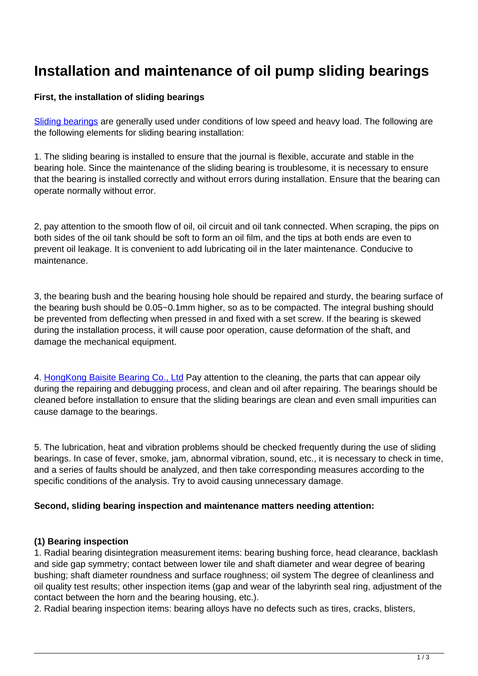# **Installation and maintenance of oil pump sliding bearings**

### **First, the installation of sliding bearings**

[Sliding bearings](http://www.ifompt.com/factory-25810-global-drilling-rig-buyer-mud-pump-bearings) are generally used under conditions of low speed and heavy load. The following are the following elements for sliding bearing installation:

1. The sliding bearing is installed to ensure that the journal is flexible, accurate and stable in the bearing hole. Since the maintenance of the sliding bearing is troublesome, it is necessary to ensure that the bearing is installed correctly and without errors during installation. Ensure that the bearing can operate normally without error.

2, pay attention to the smooth flow of oil, oil circuit and oil tank connected. When scraping, the pips on both sides of the oil tank should be soft to form an oil film, and the tips at both ends are even to prevent oil leakage. It is convenient to add lubricating oil in the later maintenance. Conducive to maintenance.

3, the bearing bush and the bearing housing hole should be repaired and sturdy, the bearing surface of the bearing bush should be 0.05~0.1mm higher, so as to be compacted. The integral bushing should be prevented from deflecting when pressed in and fixed with a set screw. If the bearing is skewed during the installation process, it will cause poor operation, cause deformation of the shaft, and damage the mechanical equipment.

4. Hong Kong Baisite Bearing Co., Ltd Pay attention to the cleaning, the parts that can appear oily during the repairing and debugging process, and clean and oil after repairing. The bearings should be cleaned before installation to ensure that the sliding bearings are clean and even small impurities can cause damage to the bearings.

5. The lubrication, heat and vibration problems should be checked frequently during the use of sliding bearings. In case of fever, smoke, jam, abnormal vibration, sound, etc., it is necessary to check in time, and a series of faults should be analyzed, and then take corresponding measures according to the specific conditions of the analysis. Try to avoid causing unnecessary damage.

### **Second, sliding bearing inspection and maintenance matters needing attention:**

### **(1) Bearing inspection**

1. Radial bearing disintegration measurement items: bearing bushing force, head clearance, backlash and side gap symmetry; contact between lower tile and shaft diameter and wear degree of bearing bushing; shaft diameter roundness and surface roughness; oil system The degree of cleanliness and oil quality test results; other inspection items (gap and wear of the labyrinth seal ring, adjustment of the contact between the horn and the bearing housing, etc.).

2. Radial bearing inspection items: bearing alloys have no defects such as tires, cracks, blisters,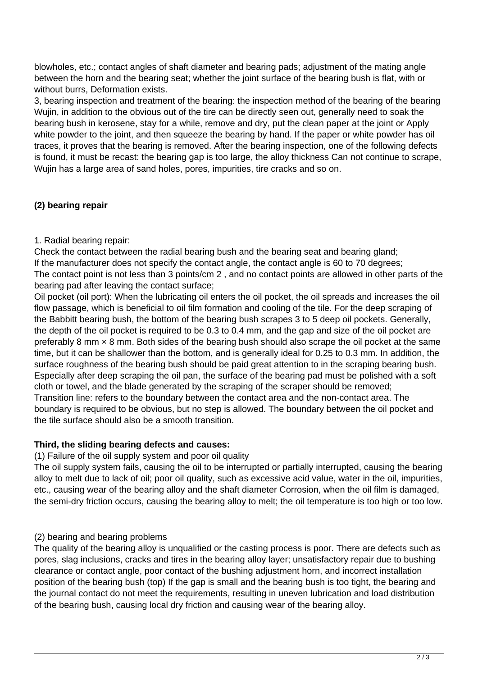blowholes, etc.; contact angles of shaft diameter and bearing pads; adjustment of the mating angle between the horn and the bearing seat; whether the joint surface of the bearing bush is flat, with or without burrs, Deformation exists.

3, bearing inspection and treatment of the bearing: the inspection method of the bearing of the bearing Wujin, in addition to the obvious out of the tire can be directly seen out, generally need to soak the bearing bush in kerosene, stay for a while, remove and dry, put the clean paper at the joint or Apply white powder to the joint, and then squeeze the bearing by hand. If the paper or white powder has oil traces, it proves that the bearing is removed. After the bearing inspection, one of the following defects is found, it must be recast: the bearing gap is too large, the alloy thickness Can not continue to scrape, Wujin has a large area of sand holes, pores, impurities, tire cracks and so on.

## **(2) bearing repair**

### 1. Radial bearing repair:

Check the contact between the radial bearing bush and the bearing seat and bearing gland; If the manufacturer does not specify the contact angle, the contact angle is 60 to 70 degrees; The contact point is not less than 3 points/cm 2 , and no contact points are allowed in other parts of the bearing pad after leaving the contact surface;

Oil pocket (oil port): When the lubricating oil enters the oil pocket, the oil spreads and increases the oil flow passage, which is beneficial to oil film formation and cooling of the tile. For the deep scraping of the Babbitt bearing bush, the bottom of the bearing bush scrapes 3 to 5 deep oil pockets. Generally, the depth of the oil pocket is required to be 0.3 to 0.4 mm, and the gap and size of the oil pocket are preferably 8 mm × 8 mm. Both sides of the bearing bush should also scrape the oil pocket at the same time, but it can be shallower than the bottom, and is generally ideal for 0.25 to 0.3 mm. In addition, the surface roughness of the bearing bush should be paid great attention to in the scraping bearing bush. Especially after deep scraping the oil pan, the surface of the bearing pad must be polished with a soft cloth or towel, and the blade generated by the scraping of the scraper should be removed; Transition line: refers to the boundary between the contact area and the non-contact area. The boundary is required to be obvious, but no step is allowed. The boundary between the oil pocket and the tile surface should also be a smooth transition.

### **Third, the sliding bearing defects and causes:**

#### (1) Failure of the oil supply system and poor oil quality

The oil supply system fails, causing the oil to be interrupted or partially interrupted, causing the bearing alloy to melt due to lack of oil; poor oil quality, such as excessive acid value, water in the oil, impurities, etc., causing wear of the bearing alloy and the shaft diameter Corrosion, when the oil film is damaged, the semi-dry friction occurs, causing the bearing alloy to melt; the oil temperature is too high or too low.

### (2) bearing and bearing problems

The quality of the bearing alloy is unqualified or the casting process is poor. There are defects such as pores, slag inclusions, cracks and tires in the bearing alloy layer; unsatisfactory repair due to bushing clearance or contact angle, poor contact of the bushing adjustment horn, and incorrect installation position of the bearing bush (top) If the gap is small and the bearing bush is too tight, the bearing and the journal contact do not meet the requirements, resulting in uneven lubrication and load distribution of the bearing bush, causing local dry friction and causing wear of the bearing alloy.